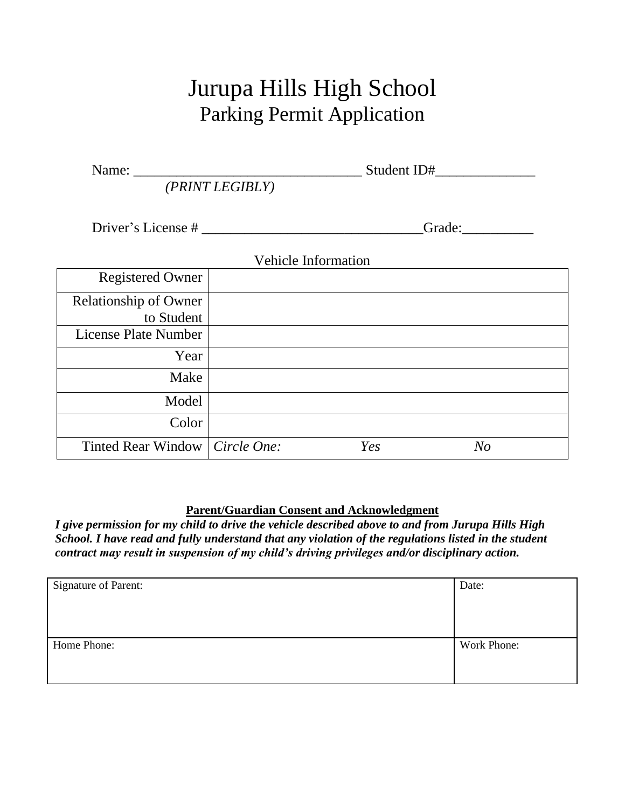# Jurupa Hills High School Parking Permit Application

| Name: $\frac{1}{\sqrt{1-\frac{1}{2}}}\left\{ \frac{1}{2}, \frac{1}{2}, \frac{1}{2}, \frac{1}{2}, \frac{1}{2}, \frac{1}{2}, \frac{1}{2}, \frac{1}{2}, \frac{1}{2}, \frac{1}{2}, \frac{1}{2}, \frac{1}{2}, \frac{1}{2}, \frac{1}{2}, \frac{1}{2}, \frac{1}{2}, \frac{1}{2}, \frac{1}{2}, \frac{1}{2}, \frac{1}{2}, \frac{1}{2}, \frac{1}{2}, \frac{1}{2}, \frac{1}{2}, \frac{1}{2}, \frac{1}{2}, \frac{1}{2}, \frac{1}{$ | (PRINT LEGIBLY)            |        |                |  |
|------------------------------------------------------------------------------------------------------------------------------------------------------------------------------------------------------------------------------------------------------------------------------------------------------------------------------------------------------------------------------------------------------------------------|----------------------------|--------|----------------|--|
| Driver's License #                                                                                                                                                                                                                                                                                                                                                                                                     |                            | Grade: |                |  |
|                                                                                                                                                                                                                                                                                                                                                                                                                        | <b>Vehicle Information</b> |        |                |  |
| <b>Registered Owner</b>                                                                                                                                                                                                                                                                                                                                                                                                |                            |        |                |  |
| <b>Relationship of Owner</b><br>to Student<br><b>License Plate Number</b>                                                                                                                                                                                                                                                                                                                                              |                            |        |                |  |
| Year                                                                                                                                                                                                                                                                                                                                                                                                                   |                            |        |                |  |
| Make                                                                                                                                                                                                                                                                                                                                                                                                                   |                            |        |                |  |
| Model                                                                                                                                                                                                                                                                                                                                                                                                                  |                            |        |                |  |
| Color                                                                                                                                                                                                                                                                                                                                                                                                                  |                            |        |                |  |
| Tinted Rear Window   Circle One:                                                                                                                                                                                                                                                                                                                                                                                       |                            | Yes    | N <sub>O</sub> |  |

#### **Parent/Guardian Consent and Acknowledgment**

*I give permission for my child to drive the vehicle described above to and from Jurupa Hills High School. I have read and fully understand that any violation of the regulations listed in the student contract may result in suspension of my child's driving privileges and/or disciplinary action.*

| Signature of Parent: | Date:       |
|----------------------|-------------|
|                      |             |
|                      |             |
|                      |             |
| Home Phone:          | Work Phone: |
|                      |             |
|                      |             |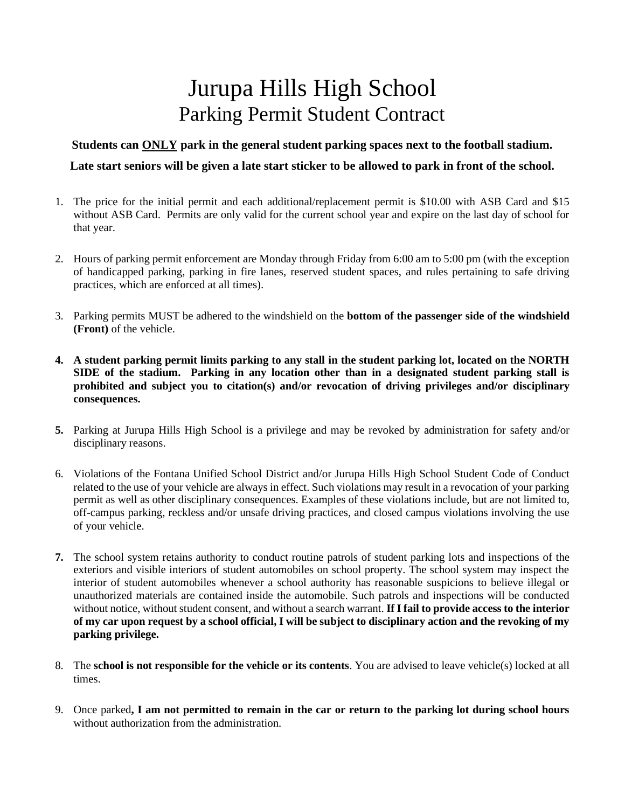## Jurupa Hills High School Parking Permit Student Contract

#### **Students can ONLY park in the general student parking spaces next to the football stadium.**

#### **Late start seniors will be given a late start sticker to be allowed to park in front of the school.**

- 1. The price for the initial permit and each additional/replacement permit is \$10.00 with ASB Card and \$15 without ASB Card. Permits are only valid for the current school year and expire on the last day of school for that year.
- 2. Hours of parking permit enforcement are Monday through Friday from 6:00 am to 5:00 pm (with the exception of handicapped parking, parking in fire lanes, reserved student spaces, and rules pertaining to safe driving practices, which are enforced at all times).
- 3. Parking permits MUST be adhered to the windshield on the **bottom of the passenger side of the windshield (Front)** of the vehicle.
- **4. A student parking permit limits parking to any stall in the student parking lot, located on the NORTH SIDE of the stadium. Parking in any location other than in a designated student parking stall is prohibited and subject you to citation(s) and/or revocation of driving privileges and/or disciplinary consequences.**
- **5.** Parking at Jurupa Hills High School is a privilege and may be revoked by administration for safety and/or disciplinary reasons.
- 6. Violations of the Fontana Unified School District and/or Jurupa Hills High School Student Code of Conduct related to the use of your vehicle are always in effect. Such violations may result in a revocation of your parking permit as well as other disciplinary consequences. Examples of these violations include, but are not limited to, off-campus parking, reckless and/or unsafe driving practices, and closed campus violations involving the use of your vehicle.
- **7.** The school system retains authority to conduct routine patrols of student parking lots and inspections of the exteriors and visible interiors of student automobiles on school property. The school system may inspect the interior of student automobiles whenever a school authority has reasonable suspicions to believe illegal or unauthorized materials are contained inside the automobile. Such patrols and inspections will be conducted without notice, without student consent, and without a search warrant. **If I fail to provide access to the interior of my car upon request by a school official, I will be subject to disciplinary action and the revoking of my parking privilege.**
- 8. The **school is not responsible for the vehicle or its contents**. You are advised to leave vehicle(s) locked at all times.
- 9. Once parked**, I am not permitted to remain in the car or return to the parking lot during school hours** without authorization from the administration.